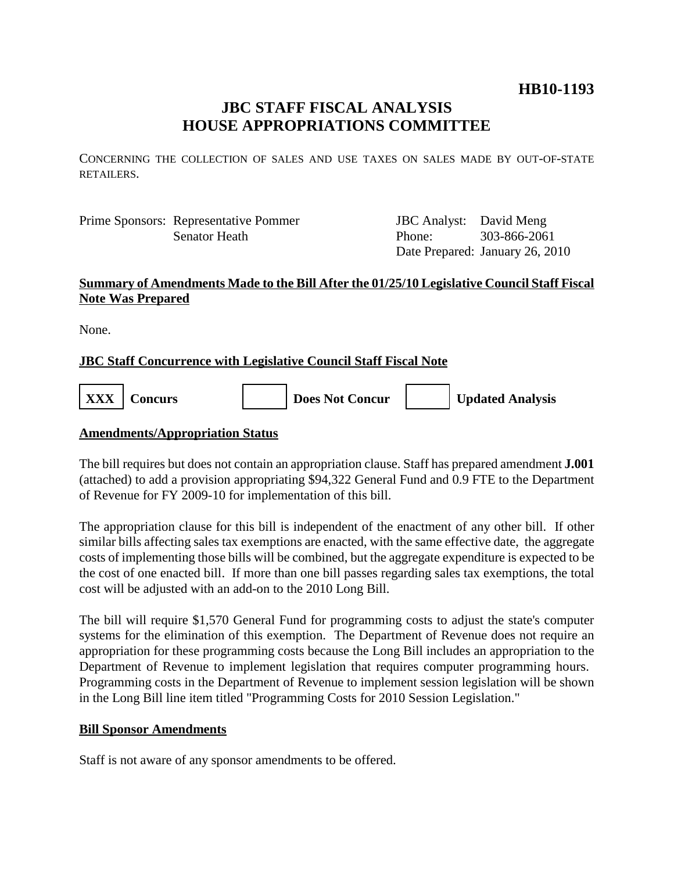## **HB10-1193**

## **JBC STAFF FISCAL ANALYSIS HOUSE APPROPRIATIONS COMMITTEE**

CONCERNING THE COLLECTION OF SALES AND USE TAXES ON SALES MADE BY OUT-OF-STATE RETAILERS.

Prime Sponsors: Representative Pommer Senator Heath

JBC Analyst: David Meng Phone: Date Prepared: January 26, 2010 303-866-2061

### **Summary of Amendments Made to the Bill After the 01/25/10 Legislative Council Staff Fiscal Note Was Prepared**

None.

### **JBC Staff Concurrence with Legislative Council Staff Fiscal Note**

**XXX** | Concurs | | | | | | Does Not Concur | | | | Updated Analysis

#### **Amendments/Appropriation Status**

The bill requires but does not contain an appropriation clause. Staff has prepared amendment **J.001** (attached) to add a provision appropriating \$94,322 General Fund and 0.9 FTE to the Department of Revenue for FY 2009-10 for implementation of this bill.

The appropriation clause for this bill is independent of the enactment of any other bill. If other similar bills affecting sales tax exemptions are enacted, with the same effective date, the aggregate costs of implementing those bills will be combined, but the aggregate expenditure is expected to be the cost of one enacted bill. If more than one bill passes regarding sales tax exemptions, the total cost will be adjusted with an add-on to the 2010 Long Bill.

The bill will require \$1,570 General Fund for programming costs to adjust the state's computer systems for the elimination of this exemption. The Department of Revenue does not require an appropriation for these programming costs because the Long Bill includes an appropriation to the Department of Revenue to implement legislation that requires computer programming hours. Programming costs in the Department of Revenue to implement session legislation will be shown in the Long Bill line item titled "Programming Costs for 2010 Session Legislation."

#### **Bill Sponsor Amendments**

Staff is not aware of any sponsor amendments to be offered.